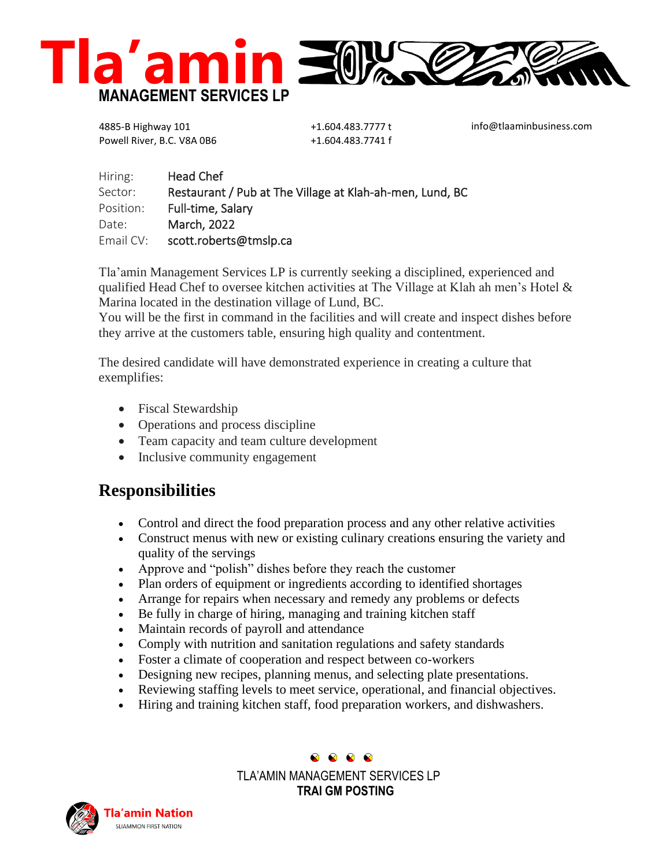

4885-B Highway 101 Powell River, B.C. V8A 0B6

+1.604.483.7777 t +1.604.483.7741 f

info@tlaaminbusiness.com

| Hiring:   | <b>Head Chef</b>                                         |
|-----------|----------------------------------------------------------|
| Sector:   | Restaurant / Pub at The Village at Klah-ah-men, Lund, BC |
| Position: | Full-time, Salary                                        |
| Date:     | March, 2022                                              |
| Email CV: | scott.roberts@tmslp.ca                                   |

Tla'amin Management Services LP is currently seeking a disciplined, experienced and qualified Head Chef to oversee kitchen activities at The Village at Klah ah men's Hotel & Marina located in the destination village of Lund, BC.

You will be the first in command in the facilities and will create and inspect dishes before they arrive at the customers table, ensuring high quality and contentment.

The desired candidate will have demonstrated experience in creating a culture that exemplifies:

- Fiscal Stewardship
- Operations and process discipline
- Team capacity and team culture development
- Inclusive community engagement

## **Responsibilities**

- Control and direct the food preparation process and any other relative activities
- Construct menus with new or existing culinary creations ensuring the variety and quality of the servings
- Approve and "polish" dishes before they reach the customer
- Plan orders of equipment or ingredients according to identified shortages
- Arrange for repairs when necessary and remedy any problems or defects
- Be fully in charge of hiring, managing and training kitchen staff
- Maintain records of payroll and attendance
- Comply with nutrition and sanitation regulations and safety standards
- Foster a climate of cooperation and respect between co-workers
- Designing new recipes, planning menus, and selecting plate presentations.
- Reviewing staffing levels to meet service, operational, and financial objectives.
- Hiring and training kitchen staff, food preparation workers, and dishwashers.